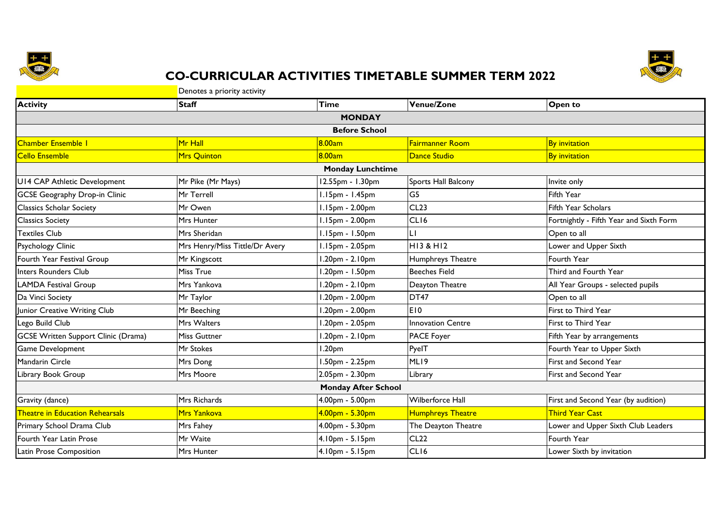



## **CO-CURRICULAR ACTIVITIES TIMETABLE SUMMER TERM 2022**

| Denotes a priority activity                |                                |                            |                          |                                         |  |
|--------------------------------------------|--------------------------------|----------------------------|--------------------------|-----------------------------------------|--|
| <b>Activity</b>                            | <b>Staff</b>                   | <b>Time</b>                | Venue/Zone               | Open to                                 |  |
|                                            |                                | <b>MONDAY</b>              |                          |                                         |  |
|                                            |                                | <b>Before School</b>       |                          |                                         |  |
| <b>Chamber Ensemble I</b>                  | Mr Hall                        | 8.00am                     | Fairmanner Room          | <b>By invitation</b>                    |  |
| <b>Cello Ensemble</b>                      | Mrs Quinton                    | 8.00am                     | Dance Studio             | <b>By invitation</b>                    |  |
|                                            |                                | <b>Monday Lunchtime</b>    |                          |                                         |  |
| U14 CAP Athletic Development               | Mr Pike (Mr Mays)              | 12.55pm - 1.30pm           | Sports Hall Balcony      | Invite only                             |  |
| <b>GCSE Geography Drop-in Clinic</b>       | Mr Terrell                     | 1.15pm - 1.45pm            | G <sub>5</sub>           | Fifth Year                              |  |
| <b>Classics Scholar Society</b>            | Mr Owen                        | $1.15pm - 2.00pm$          | CL23                     | <b>Fifth Year Scholars</b>              |  |
| <b>Classics Society</b>                    | Mrs Hunter                     | $1.15pm - 2.00pm$          | CL <sub>16</sub>         | Fortnightly - Fifth Year and Sixth Form |  |
| <b>Textiles Club</b>                       | Mrs Sheridan                   | 1.15pm - 1.50pm            | LI                       | Open to all                             |  |
| Psychology Clinic                          | Mrs Henry/Miss Tittle/Dr Avery | 1.15pm - 2.05pm            | <b>HI3 &amp; HI2</b>     | Lower and Upper Sixth                   |  |
| Fourth Year Festival Group                 | Mr Kingscott                   | 1.20pm - 2.10pm            | Humphreys Theatre        | Fourth Year                             |  |
| <b>Inters Rounders Club</b>                | Miss True                      | 1.20pm - 1.50pm            | <b>Beeches Field</b>     | Third and Fourth Year                   |  |
| <b>LAMDA Festival Group</b>                | Mrs Yankova                    | $1.20pm - 2.10pm$          | Deayton Theatre          | All Year Groups - selected pupils       |  |
| Da Vinci Society                           | Mr Taylor                      | 1.20pm - 2.00pm            | DT <sub>47</sub>         | Open to all                             |  |
| Junior Creative Writing Club               | Mr Beeching                    | 1.20pm - 2.00pm            | <b>E10</b>               | First to Third Year                     |  |
| Lego Build Club                            | Mrs Walters                    | 1.20pm - 2.05pm            | <b>Innovation Centre</b> | First to Third Year                     |  |
| <b>GCSE Written Support Clinic (Drama)</b> | <b>Miss Guttner</b>            | 1.20pm - 2.10pm            | PACE Foyer               | Fifth Year by arrangements              |  |
| Game Development                           | Mr Stokes                      | 1.20 <sub>pm</sub>         | PyelT                    | Fourth Year to Upper Sixth              |  |
| Mandarin Circle                            | Mrs Dong                       | 1.50pm - 2.25pm            | ML <sub>19</sub>         | First and Second Year                   |  |
| Library Book Group                         | Mrs Moore                      | 2.05pm - 2.30pm            | Library                  | First and Second Year                   |  |
|                                            |                                | <b>Monday After School</b> |                          |                                         |  |
| Gravity (dance)                            | Mrs Richards                   | 4.00pm - 5.00pm            | Wilberforce Hall         | First and Second Year (by audition)     |  |
| <b>Theatre in Education Rehearsals</b>     | Mrs Yankova                    | 4.00pm - 5.30pm            | <b>Humphreys Theatre</b> | <b>Third Year Cast</b>                  |  |
| Primary School Drama Club                  | Mrs Fahey                      | 4.00pm - 5.30pm            | The Deayton Theatre      | Lower and Upper Sixth Club Leaders      |  |
| Fourth Year Latin Prose                    | Mr Waite                       | 4.10pm - 5.15pm            | <b>CL22</b>              | Fourth Year                             |  |
| Latin Prose Composition                    | <b>Mrs Hunter</b>              | 4.10pm - 5.15pm            | CLI6                     | Lower Sixth by invitation               |  |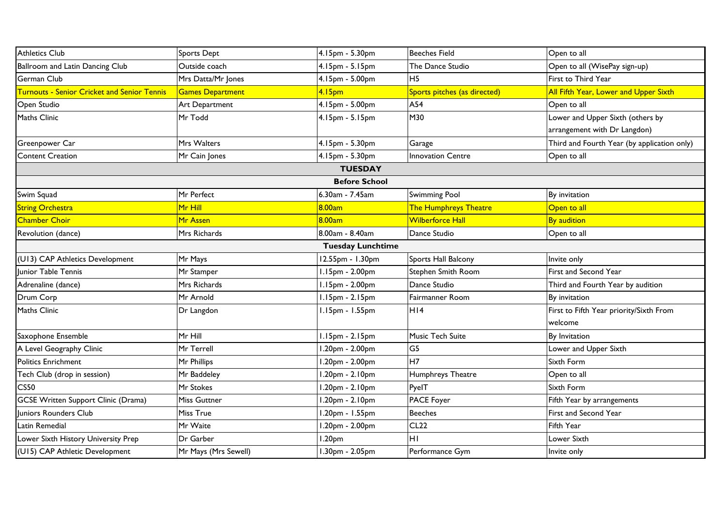| <b>Athletics Club</b>                              | Sports Dept             | 4.15pm - 5.30pm          | <b>Beeches Field</b>         | Open to all                                 |
|----------------------------------------------------|-------------------------|--------------------------|------------------------------|---------------------------------------------|
| Ballroom and Latin Dancing Club                    | Outside coach           | 4.15pm - 5.15pm          | The Dance Studio             | Open to all (WisePay sign-up)               |
| German Club                                        | Mrs Datta/Mr Jones      | 4.15pm - 5.00pm          | H <sub>5</sub>               | First to Third Year                         |
| <b>Turnouts - Senior Cricket and Senior Tennis</b> | <b>Games Department</b> | 4.15 <sub>pm</sub>       | Sports pitches (as directed) | All Fifth Year, Lower and Upper Sixth       |
| Open Studio                                        | Art Department          | 4.15pm - 5.00pm          | A54                          | Open to all                                 |
| Maths Clinic                                       | Mr Todd                 | 4.15pm - 5.15pm          | M30                          | Lower and Upper Sixth (others by            |
|                                                    |                         |                          |                              | arrangement with Dr Langdon)                |
| Greenpower Car                                     | Mrs Walters             | 4.15pm - 5.30pm          | Garage                       | Third and Fourth Year (by application only) |
| <b>Content Creation</b>                            | Mr Cain Jones           | 4.15pm - 5.30pm          | <b>Innovation Centre</b>     | Open to all                                 |
|                                                    |                         | <b>TUESDAY</b>           |                              |                                             |
|                                                    |                         | <b>Before School</b>     |                              |                                             |
| Swim Squad                                         | Mr Perfect              | 6.30am - 7.45am          | <b>Swimming Pool</b>         | By invitation                               |
| <b>String Orchestra</b>                            | Mr Hill                 | 8.00am                   | The Humphreys Theatre        | Open to all                                 |
| <b>Chamber Choir</b>                               | Mr Assen                | 8.00am                   | <b>Wilberforce Hall</b>      | <b>By audition</b>                          |
| Revolution (dance)                                 | Mrs Richards            | 8.00am - 8.40am          | Dance Studio                 | Open to all                                 |
|                                                    |                         | <b>Tuesday Lunchtime</b> |                              |                                             |
| (U13) CAP Athletics Development                    | Mr Mays                 | 12.55pm - 1.30pm         | Sports Hall Balcony          | Invite only                                 |
| Junior Table Tennis                                | Mr Stamper              | 1.15pm - 2.00pm          | Stephen Smith Room           | First and Second Year                       |
| Adrenaline (dance)                                 | Mrs Richards            | 1.15pm - 2.00pm          | Dance Studio                 | Third and Fourth Year by audition           |
| Drum Corp                                          | Mr Arnold               | $1.15pm - 2.15pm$        | Fairmanner Room              | By invitation                               |
| <b>Maths Clinic</b>                                | Dr Langdon              | 1.15pm - 1.55pm          | H14                          | First to Fifth Year priority/Sixth From     |
|                                                    |                         |                          |                              | welcome                                     |
| Saxophone Ensemble                                 | Mr Hill                 | $1.15pm - 2.15pm$        | Music Tech Suite             | By Invitation                               |
| A Level Geography Clinic                           | Mr Terrell              | 1.20pm - 2.00pm          | G <sub>5</sub>               | Lower and Upper Sixth                       |
| <b>Politics Enrichment</b>                         | Mr Phillips             | 1.20pm - 2.00pm          | H7                           | Sixth Form                                  |
| Tech Club (drop in session)                        | Mr Baddeley             | 1.20pm - 2.10pm          | Humphreys Theatre            | Open to all                                 |
| <b>CS50</b>                                        | Mr Stokes               | .20pm - 2.10pm           | PyelT                        | Sixth Form                                  |
| <b>GCSE Written Support Clinic (Drama)</b>         | Miss Guttner            | 1.20pm - 2.10pm          | PACE Foyer                   | Fifth Year by arrangements                  |
| Juniors Rounders Club                              | Miss True               | 1.20pm - 1.55pm          | <b>Beeches</b>               | First and Second Year                       |
| Latin Remedial                                     | Mr Waite                | 1.20pm - 2.00pm          | CL22                         | Fifth Year                                  |
| Lower Sixth History University Prep                | Dr Garber               | 1.20 <sub>pm</sub>       | HI                           | Lower Sixth                                 |
| (U15) CAP Athletic Development                     | Mr Mays (Mrs Sewell)    | 1.30pm - 2.05pm          | Performance Gym              | Invite only                                 |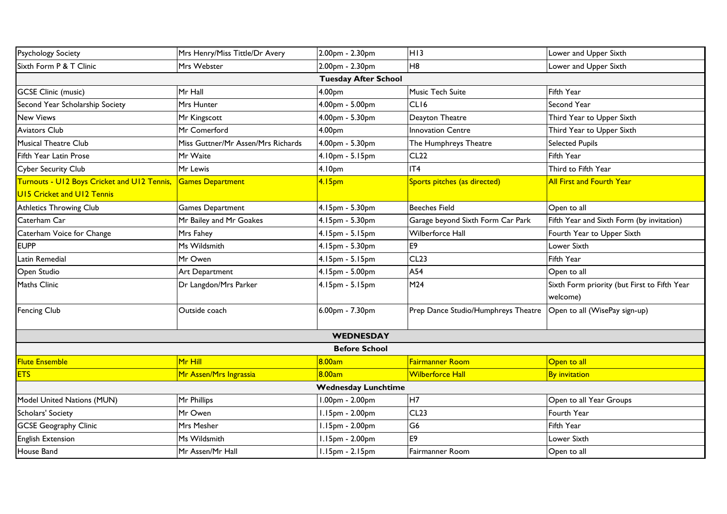| <b>Psychology Society</b>                   | Mrs Henry/Miss Tittle/Dr Avery     | 2.00pm - 2.30pm             | H <sub>13</sub>                     | Lower and Upper Sixth                        |  |  |
|---------------------------------------------|------------------------------------|-----------------------------|-------------------------------------|----------------------------------------------|--|--|
| Sixth Form P & T Clinic                     | Mrs Webster                        | 2.00pm - 2.30pm             | H <sub>8</sub>                      | Lower and Upper Sixth                        |  |  |
|                                             |                                    | <b>Tuesday After School</b> |                                     |                                              |  |  |
| <b>GCSE Clinic (music)</b>                  | Mr Hall                            | 4.00pm                      | Music Tech Suite                    | Fifth Year                                   |  |  |
| Second Year Scholarship Society             | Mrs Hunter                         | 4.00pm - 5.00pm             | CLI6                                | Second Year                                  |  |  |
| <b>New Views</b>                            | Mr Kingscott                       | 4.00pm - 5.30pm             | Deayton Theatre                     | Third Year to Upper Sixth                    |  |  |
| <b>Aviators Club</b>                        | Mr Comerford                       | 4.00pm                      | <b>Innovation Centre</b>            | Third Year to Upper Sixth                    |  |  |
| <b>Musical Theatre Club</b>                 | Miss Guttner/Mr Assen/Mrs Richards | 4.00pm - 5.30pm             | The Humphreys Theatre               | <b>Selected Pupils</b>                       |  |  |
| Fifth Year Latin Prose                      | Mr Waite                           | 4.10pm - 5.15pm             | <b>CL22</b>                         | Fifth Year                                   |  |  |
| <b>Cyber Security Club</b>                  | Mr Lewis                           | 4.10 <sub>pm</sub>          | IT <sub>4</sub>                     | Third to Fifth Year                          |  |  |
| Turnouts - U12 Boys Cricket and U12 Tennis, | <b>Games Department</b>            | 4.15 <sub>pm</sub>          | Sports pitches (as directed)        | <b>All First and Fourth Year</b>             |  |  |
| <b>UI5 Cricket and UI2 Tennis</b>           |                                    |                             |                                     |                                              |  |  |
| <b>Athletics Throwing Club</b>              | <b>Games Department</b>            | 4.15pm - 5.30pm             | <b>Beeches Field</b>                | Open to all                                  |  |  |
| Caterham Car                                | Mr Bailey and Mr Goakes            | 4.15pm - 5.30pm             | Garage beyond Sixth Form Car Park   | Fifth Year and Sixth Form (by invitation)    |  |  |
| Caterham Voice for Change                   | Mrs Fahey                          | 4.15pm - 5.15pm             | Wilberforce Hall                    | Fourth Year to Upper Sixth                   |  |  |
| <b>EUPP</b>                                 | Ms Wildsmith                       | 4.15pm - 5.30pm             | E9                                  | Lower Sixth                                  |  |  |
| Latin Remedial                              | Mr Owen                            | 4.15pm - 5.15pm             | CL23                                | Fifth Year                                   |  |  |
| Open Studio                                 | Art Department                     | 4.15pm - 5.00pm             | A54                                 | Open to all                                  |  |  |
| <b>Maths Clinic</b>                         | Dr Langdon/Mrs Parker              | 4.15pm - 5.15pm             | M24                                 | Sixth Form priority (but First to Fifth Year |  |  |
|                                             |                                    |                             |                                     | welcome)                                     |  |  |
| <b>Fencing Club</b>                         | Outside coach                      | 6.00pm - 7.30pm             | Prep Dance Studio/Humphreys Theatre | Open to all (WisePay sign-up)                |  |  |
|                                             | <b>WEDNESDAY</b>                   |                             |                                     |                                              |  |  |
| <b>Before School</b>                        |                                    |                             |                                     |                                              |  |  |
| <b>Flute Ensemble</b>                       | Mr Hill                            | 8.00am                      | <b>Fairmanner Room</b>              | Open to all                                  |  |  |
| <b>ETS</b>                                  | Mr Assen/Mrs Ingrassia             | 8.00am                      | Wilberforce Hall                    | <b>By invitation</b>                         |  |  |
| <b>Wednesday Lunchtime</b>                  |                                    |                             |                                     |                                              |  |  |
| Model United Nations (MUN)                  | Mr Phillips                        | 1.00pm - 2.00pm             | H7                                  | Open to all Year Groups                      |  |  |
| Scholars' Society                           | Mr Owen                            | 1.15pm - 2.00pm             | CL23                                | Fourth Year                                  |  |  |
| <b>GCSE Geography Clinic</b>                | Mrs Mesher                         | 1.15pm - 2.00pm             | G6                                  | Fifth Year                                   |  |  |
| <b>English Extension</b>                    | Ms Wildsmith                       | 1.15pm - 2.00pm             | E <sub>9</sub>                      | Lower Sixth                                  |  |  |
| House Band                                  | Mr Assen/Mr Hall                   | 1.15pm - 2.15pm             | Fairmanner Room                     | Open to all                                  |  |  |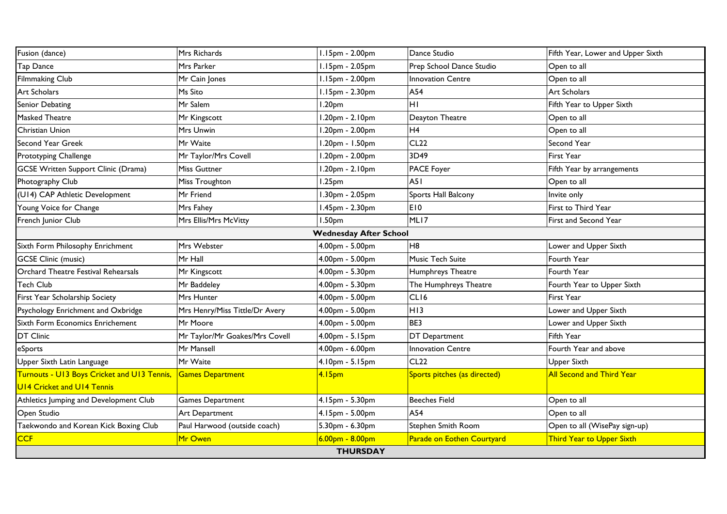| Fusion (dance)                              | Mrs Richards                   | I.15pm - 2.00pm               | Dance Studio                 | Fifth Year, Lower and Upper Sixth |
|---------------------------------------------|--------------------------------|-------------------------------|------------------------------|-----------------------------------|
| Tap Dance                                   | Mrs Parker                     | $1.15pm - 2.05pm$             | Prep School Dance Studio     | Open to all                       |
| <b>Filmmaking Club</b>                      | Mr Cain Jones                  | $1.15pm - 2.00pm$             | Innovation Centre            | Open to all                       |
| <b>Art Scholars</b>                         | Ms Sito                        | $1.15pm - 2.30pm$             | A54                          | Art Scholars                      |
| Senior Debating                             | Mr Salem                       | 1.20 <sub>pm</sub>            | ΗI                           | Fifth Year to Upper Sixth         |
| Masked Theatre                              | Mr Kingscott                   | .20pm - 2.10pm                | Deayton Theatre              | Open to all                       |
| Christian Union                             | Mrs Unwin                      | .20pm - 2.00pm                | H <sub>4</sub>               | Open to all                       |
| Second Year Greek                           | Mr Waite                       | .20pm - 1.50pm                | CL <sub>22</sub>             | Second Year                       |
| Prototyping Challenge                       | Mr Taylor/Mrs Covell           | .20pm - 2.00pm                | 3D49                         | <b>First Year</b>                 |
| <b>GCSE Written Support Clinic (Drama)</b>  | <b>Miss Guttner</b>            | 1.20pm - 2.10pm               | PACE Foyer                   | Fifth Year by arrangements        |
| Photography Club                            | Miss Troughton                 | 1.25 <sub>pm</sub>            | A51                          | Open to all                       |
| (U14) CAP Athletic Development              | Mr Friend                      | .30pm - 2.05pm                | Sports Hall Balcony          | Invite only                       |
| Young Voice for Change                      | Mrs Fahey                      | 1.45pm - 2.30pm               | E <sub>10</sub>              | First to Third Year               |
| French Junior Club                          | Mrs Ellis/Mrs McVitty          | 1.50 <sub>pm</sub>            | ML17                         | First and Second Year             |
|                                             |                                | <b>Wednesday After School</b> |                              |                                   |
| Sixth Form Philosophy Enrichment            | Mrs Webster                    | 4.00pm - 5.00pm               | H <sub>8</sub>               | Lower and Upper Sixth             |
| <b>GCSE Clinic (music)</b>                  | Mr Hall                        | 4.00pm - 5.00pm               | Music Tech Suite             | Fourth Year                       |
| Orchard Theatre Festival Rehearsals         | Mr Kingscott                   | 4.00pm - 5.30pm               | Humphreys Theatre            | Fourth Year                       |
| <b>Tech Club</b>                            | Mr Baddeley                    | 4.00pm - 5.30pm               | The Humphreys Theatre        | Fourth Year to Upper Sixth        |
| First Year Scholarship Society              | Mrs Hunter                     | 4.00pm - 5.00pm               | CLI6                         | <b>First Year</b>                 |
| Psychology Enrichment and Oxbridge          | Mrs Henry/Miss Tittle/Dr Avery | 4.00pm - 5.00pm               | H <sub>13</sub>              | Lower and Upper Sixth             |
| Sixth Form Economics Enrichement            | Mr Moore                       | 4.00pm - 5.00pm               | BE3                          | Lower and Upper Sixth             |
| <b>DT Clinic</b>                            | Mr Taylor/Mr Goakes/Mrs Covell | 4.00pm - 5.15pm               | DT Department                | Fifth Year                        |
| eSports                                     | Mr Mansell                     | 4.00pm - 6.00pm               | <b>Innovation Centre</b>     | Fourth Year and above             |
| Upper Sixth Latin Language                  | Mr Waite                       | 4.10pm - 5.15pm               | CL22                         | <b>Upper Sixth</b>                |
| Turnouts - U13 Boys Cricket and U13 Tennis, | Games Department               | 4.15 <sub>pm</sub>            | Sports pitches (as directed) | <b>All Second and Third Year</b>  |
| <b>U14 Cricket and U14 Tennis</b>           |                                |                               |                              |                                   |
| Athletics Jumping and Development Club      | <b>Games Department</b>        | 4.15pm - 5.30pm               | <b>Beeches Field</b>         | Open to all                       |
| Open Studio                                 | Art Department                 | 4.15pm - 5.00pm               | A54                          | Open to all                       |
| Taekwondo and Korean Kick Boxing Club       | Paul Harwood (outside coach)   | 5.30pm - 6.30pm               | Stephen Smith Room           | Open to all (WisePay sign-up)     |
| <b>CCF</b>                                  | Mr Owen                        | $6.00pm - 8.00pm$             | Parade on Eothen Courtyard   | Third Year to Upper Sixth         |
|                                             |                                | <b>THURSDAY</b>               |                              |                                   |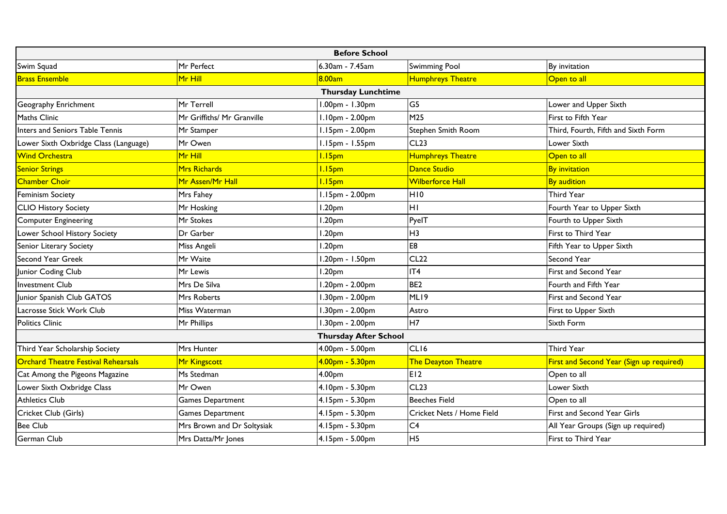| <b>Before School</b>                       |                            |                              |                           |                                          |
|--------------------------------------------|----------------------------|------------------------------|---------------------------|------------------------------------------|
| Swim Squad                                 | Mr Perfect                 | 6.30am - 7.45am              | <b>Swimming Pool</b>      | By invitation                            |
| <b>Brass Ensemble</b>                      | Mr Hill                    | 8.00am                       | <b>Humphreys Theatre</b>  | Open to all                              |
|                                            |                            | <b>Thursday Lunchtime</b>    |                           |                                          |
| Geography Enrichment                       | Mr Terrell                 | 1.00pm - 1.30pm              | G5                        | Lower and Upper Sixth                    |
| <b>Maths Clinic</b>                        | Mr Griffiths/ Mr Granville | I.10pm - 2.00pm              | M <sub>25</sub>           | First to Fifth Year                      |
| Inters and Seniors Table Tennis            | Mr Stamper                 | 1.15pm - 2.00pm              | Stephen Smith Room        | Third, Fourth, Fifth and Sixth Form      |
| Lower Sixth Oxbridge Class (Language)      | Mr Owen                    | 1.15pm - 1.55pm              | CL23                      | Lower Sixth                              |
| <b>Wind Orchestra</b>                      | Mr Hill                    | 1.15 <sub>pm</sub>           | <b>Humphreys Theatre</b>  | Open to all                              |
| <b>Senior Strings</b>                      | Mrs Richards               | 1.15 <sub>pm</sub>           | Dance Studio              | <b>By invitation</b>                     |
| <b>Chamber Choir</b>                       | Mr Assen/Mr Hall           | 1.15 <sub>pm</sub>           | <b>Wilberforce Hall</b>   | <b>By audition</b>                       |
| <b>Feminism Society</b>                    | Mrs Fahey                  | 1.15pm - 2.00pm              | H <sub>10</sub>           | Third Year                               |
| <b>CLIO History Society</b>                | Mr Hosking                 | 1.20 <sub>pm</sub>           | HI                        | Fourth Year to Upper Sixth               |
| <b>Computer Engineering</b>                | Mr Stokes                  | 1.20 <sub>pm</sub>           | PyelT                     | Fourth to Upper Sixth                    |
| Lower School History Society               | Dr Garber                  | 1.20 <sub>pm</sub>           | H <sub>3</sub>            | First to Third Year                      |
| Senior Literary Society                    | Miss Angeli                | 1.20 <sub>pm</sub>           | E8                        | Fifth Year to Upper Sixth                |
| Second Year Greek                          | Mr Waite                   | .20pm - 1.50pm               | CL22                      | Second Year                              |
| Junior Coding Club                         | Mr Lewis                   | 1.20 <sub>pm</sub>           | IT4                       | First and Second Year                    |
| <b>Investment Club</b>                     | Mrs De Silva               | 1.20pm - 2.00pm              | BE <sub>2</sub>           | Fourth and Fifth Year                    |
| Junior Spanish Club GATOS                  | Mrs Roberts                | 1.30pm - 2.00pm              | ML19                      | First and Second Year                    |
| Lacrosse Stick Work Club                   | Miss Waterman              | 1.30pm - 2.00pm              | Astro                     | First to Upper Sixth                     |
| <b>Politics Clinic</b>                     | Mr Phillips                | 1.30pm - 2.00pm              | H7                        | Sixth Form                               |
|                                            |                            | <b>Thursday After School</b> |                           |                                          |
| Third Year Scholarship Society             | <b>Mrs Hunter</b>          | 4.00pm - 5.00pm              | CLI6                      | <b>Third Year</b>                        |
| <b>Orchard Theatre Festival Rehearsals</b> | Mr Kingscott               | 4.00pm - 5.30pm              | The Deayton Theatre       | First and Second Year (Sign up required) |
| Cat Among the Pigeons Magazine             | Ms Stedman                 | 4.00pm                       | E12                       | Open to all                              |
| Lower Sixth Oxbridge Class                 | Mr Owen                    | 4.10pm - 5.30pm              | CL23                      | Lower Sixth                              |
| <b>Athletics Club</b>                      | <b>Games Department</b>    | 4.15pm - 5.30pm              | <b>Beeches Field</b>      | Open to all                              |
| Cricket Club (Girls)                       | <b>Games Department</b>    | 4.15pm - 5.30pm              | Cricket Nets / Home Field | First and Second Year Girls              |
| <b>Bee Club</b>                            | Mrs Brown and Dr Soltysiak | 4.15pm - 5.30pm              | C <sub>4</sub>            | All Year Groups (Sign up required)       |
| German Club                                | Mrs Datta/Mr Jones         | 4.15pm - 5.00pm              | H <sub>5</sub>            | First to Third Year                      |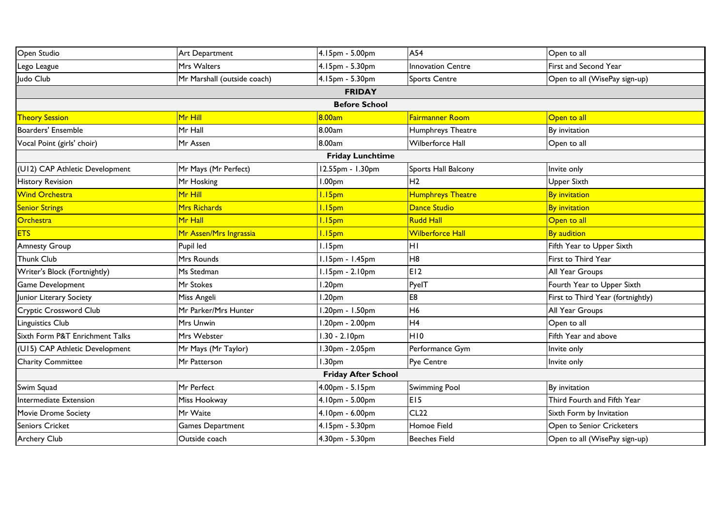| Open Studio                     | Art Department              | 4.15pm - 5.00pm         | A54                          | Open to all                       |  |
|---------------------------------|-----------------------------|-------------------------|------------------------------|-----------------------------------|--|
| Lego League                     | Mrs Walters                 | 4.15pm - 5.30pm         | <b>Innovation Centre</b>     | First and Second Year             |  |
| Judo Club                       | Mr Marshall (outside coach) | 4.15pm - 5.30pm         | <b>Sports Centre</b>         | Open to all (WisePay sign-up)     |  |
|                                 |                             | <b>FRIDAY</b>           |                              |                                   |  |
|                                 |                             | <b>Before School</b>    |                              |                                   |  |
| <b>Theory Session</b>           | <mark>Mr Hill</mark>        | 8.00am                  | <mark>Fairmanner Room</mark> | Open to all                       |  |
| <b>Boarders' Ensemble</b>       | Mr Hall                     | 8.00am                  | Humphreys Theatre            | By invitation                     |  |
| Vocal Point (girls' choir)      | Mr Assen                    | 8.00am                  | Wilberforce Hall             | Open to all                       |  |
|                                 |                             | <b>Friday Lunchtime</b> |                              |                                   |  |
| (U12) CAP Athletic Development  | Mr Mays (Mr Perfect)        | 12.55pm - 1.30pm        | Sports Hall Balcony          | Invite only                       |  |
| <b>History Revision</b>         | Mr Hosking                  | .00 <sub>pm</sub>       | H <sub>2</sub>               | Upper Sixth                       |  |
| <b>Wind Orchestra</b>           | <mark>Mr Hill</mark>        | I.15pm                  | <b>Humphreys Theatre</b>     | <b>By invitation</b>              |  |
| <b>Senior Strings</b>           | Mrs Richards                | 1.15 <sub>pm</sub>      | Dance Studio                 | <b>By invitation</b>              |  |
| Orchestra                       | <mark>Mr Hall</mark>        | 1.15 <sub>pm</sub>      | <b>Rudd Hall</b>             | Open to all                       |  |
| <b>ETS</b>                      | Mr Assen/Mrs Ingrassia      | 1.15 <sub>pm</sub>      | Wilberforce Hall             | <b>By audition</b>                |  |
| <b>Amnesty Group</b>            | Pupil led                   | I.15pm                  | HI                           | Fifth Year to Upper Sixth         |  |
| <b>Thunk Club</b>               | Mrs Rounds                  | .15pm - 1.45pm          | H <sub>8</sub>               | First to Third Year               |  |
| Writer's Block (Fortnightly)    | Ms Stedman                  | $.15pm - 2.10pm$        | E12                          | All Year Groups                   |  |
| <b>Game Development</b>         | Mr Stokes                   | .20pm                   | PyelT                        | Fourth Year to Upper Sixth        |  |
| Junior Literary Society         | Miss Angeli                 | .20 <sub>pm</sub>       | E8                           | First to Third Year (fortnightly) |  |
| Cryptic Crossword Club          | Mr Parker/Mrs Hunter        | .20pm - 1.50pm          | H6                           | All Year Groups                   |  |
| Linguistics Club                | Mrs Unwin                   | .20pm - 2.00pm          | H <sub>4</sub>               | Open to all                       |  |
| Sixth Form P&T Enrichment Talks | Mrs Webster                 | $1.30 - 2.10pm$         | H <sub>10</sub>              | Fifth Year and above              |  |
| (U15) CAP Athletic Development  | Mr Mays (Mr Taylor)         | .30pm - 2.05pm          | Performance Gym              | Invite only                       |  |
| <b>Charity Committee</b>        | Mr Patterson                | .30 <sub>pm</sub>       | Pye Centre                   | Invite only                       |  |
| <b>Friday After School</b>      |                             |                         |                              |                                   |  |
| Swim Squad                      | Mr Perfect                  | 4.00pm - 5.15pm         | <b>Swimming Pool</b>         | By invitation                     |  |
| Intermediate Extension          | Miss Hookway                | 4.10pm - 5.00pm         | E <sub>15</sub>              | Third Fourth and Fifth Year       |  |
| <b>Movie Drome Society</b>      | Mr Waite                    | 4.10pm - 6.00pm         | <b>CL22</b>                  | Sixth Form by Invitation          |  |
| <b>Seniors Cricket</b>          | Games Department            | 4.15pm - 5.30pm         | Homoe Field                  | Open to Senior Cricketers         |  |
| <b>Archery Club</b>             | Outside coach               | 4.30pm - 5.30pm         | <b>Beeches Field</b>         | Open to all (WisePay sign-up)     |  |